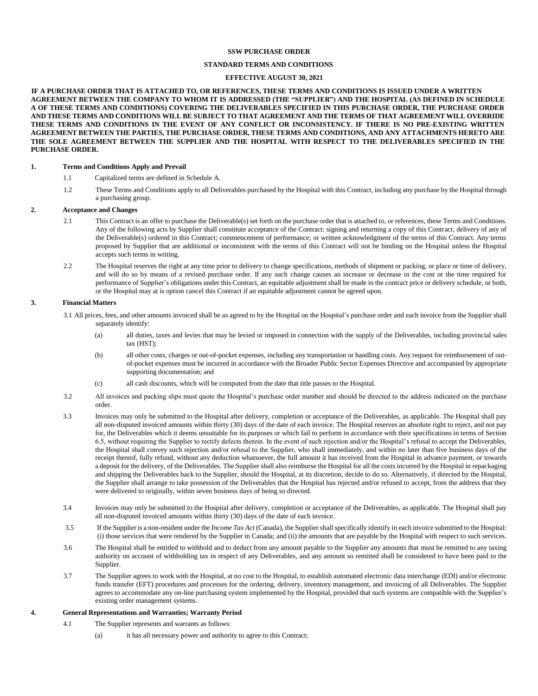### **SSW PURCHASE ORDER**

## **STANDARD TERMS AND CONDITIONS**

# **EFFECTIVE AUGUST 30, 2021**

**IF A PURCHASE ORDER THAT IS ATTACHED TO, OR REFERENCES, THESE TERMS AND CONDITIONS IS ISSUED UNDER A WRITTEN** AGREEMENT BETWEEN THE COMPANY TO WHOM IT IS ADDRESSED (THE "SUPPLIER") AND THE HOSPITAL (AS DEFINED IN SCHEDULE A OF THESE TERMS AND CONDITIONS) COVERING THE DELIVERABLES SPECIFIED IN THIS PURCHASE ORDER, THE PURCHASE ORDER AND THESE TERMS AND CONDITIONS WILL BE SUBJECT TO THAT AGREEMENT AND THE TERMS OF THAT AGREEMENT WILL OVERRIDE THESE TERMS AND CONDITIONS IN THE EVENT OF ANY CONFLICT OR INCONSISTENCY. IF THERE IS NO PRE-EXISTING WRITTEN **AGREEMENT BETWEEN THE PARTIES, THE PURCHASE ORDER, THESE TERMS AND CONDITIONS, AND ANY ATTACHMENTS HERETO ARE** THE SOLE AGREEMENT BETWEEN THE SUPPLIER AND THE HOSPITAL WITH RESPECT TO THE DELIVERABLES SPECIFIED IN THE **PURCHASE ORDER.**

## **1. Terms and Conditions Apply and Prevail**

- 1.1 Capitalized terms are defined in Schedule A.
- 1.2 These Terms and Conditions apply to all Deliverables purchased by the Hospital with this Contract, including any purchase by the Hospital through a purchasing group.

## **2. Acceptance and Changes**

- 2.1 This Contract is an offer to purchase the Deliverable(s) set forth on the purchase order that is attached to, or references, these Terms and Conditions. Any of the following acts by Supplier shall constitute acceptance of the Contract: signing and returning a copy of this Contract; delivery of any of the Deliverable(s) ordered in this Contract; commencement of performance; or written acknowledgment of the terms of this Contract. Any terms proposed by Supplier that are additional or inconsistent with the terms of this Contract will not be binding on the Hospital unless the Hospital accepts such terms in writing.
- 2.2 The Hospital reserves the right at any time prior to delivery to change specifications, methods of shipment or packing, or place or time of delivery, and will do so by means of a revised purchase order. If any such change causes an increase or decrease in the cost or the time required for performance of Supplier's obligations under this Contract, an equitable adjustment shall be made in the contract price or delivery schedule, or both, or the Hospital may at is option cancel this Contract if an equitable adjustment cannot be agreed upon.

## **3. Financial Matters**

3.1 All prices, fees, and other amounts invoiced shall be as agreed to by the Hospital on the Hospital's purchase order and each invoice from the Supplier shall separately identify:

- (a) all duties, taxes and levies that may be levied or imposed in connection with the supply of the Deliverables, including provincial sales tax (HST);
- (b) all other costs, charges or out-of-pocket expenses, including any transportation or handling costs. Any request for reimbursement of outof-pocket expenses must be incurred in accordance with the Broader Public Sector Expenses Directive and accompanied by appropriate supporting documentation; and
- (c) all cash discounts, which will be computed from the date that title passes to the Hospital.
- 3.2 All invoices and packing slips must quote the Hospital's purchase order number and should be directed to the address indicated on the purchase order.
- 3.3 Invoices may only be submitted to the Hospital after delivery, completion or acceptance of the Deliverables, as applicable. The Hospital shall pay all non-disputed invoiced amounts within thirty (30) days of the date of each invoice. The Hospital reserves an absolute right to reject, and not pay for, the Deliverables which it deems unsuitable for its purposes or which fail to perform in accordance with their specifications in terms of Section 6.5, without requiring the Supplier to rectify defects therein. In the event of such rejection and/or the Hospital's refusal to accept the Deliverables, the Hospital shall convey such rejection and/or refusal to the Supplier, who shall immediately, and within no later than five business days of the receipt thereof, fully refund, without any deduction whatsoever, the full amount it has received from the Hospital in advance payment, or towards a deposit for the delivery, of the Deliverables. The Supplier shall also reimburse the Hospital for all the costs incurred by the Hospital in repackaging and shipping the Deliverables back to the Supplier, should the Hospital, at its discretion, decide to do so. Alternatively, if directed by the Hospital, the Supplier shall arrange to take possession of the Deliverables that the Hospital has rejected and/or refused to accept, from the address that they were delivered to originally, within seven business days of being so directed.
- 3.4 Invoices may only be submitted to the Hospital after delivery, completion or acceptance of the Deliverables, as applicable. The Hospital shall pay all non-disputed invoiced amounts within thirty (30) days of the date of each invoice.
- 3.5 If the Supplieris a non-resident under the *Income Tax Act* (Canada), the Suppliershallspecifically identify in each invoice submitted to the Hospital: (i) those services that were rendered by the Supplier in Canada; and (ii) the amounts that are payable by the Hospital with respect to such services.
- 3.6 The Hospital shall be entitled to withhold and to deduct from any amount payable to the Supplier any amounts that must be remitted to any taxing authority on account of withholding tax in respect of any Deliverables, and any amount so remitted shall be considered to have been paid to the Supplier.
- 3.7 The Supplier agrees to work with the Hospital, at no cost to the Hospital, to establish automated electronic data interchange (EDI) and/or electronic funds transfer (EFT) procedures and processes for the ordering, delivery, inventory management, and invoicing of all Deliverables. The Supplier agrees to accommodate any on-line purchasing system implemented by the Hospital, provided that such systems are compatible with the Supplier's existing order management systems.

# **4. General Representations and Warranties; Warranty Period**

- 4.1 The Supplier represents and warrants as follows:
	- (a) it has all necessary power and authority to agree to this Contract;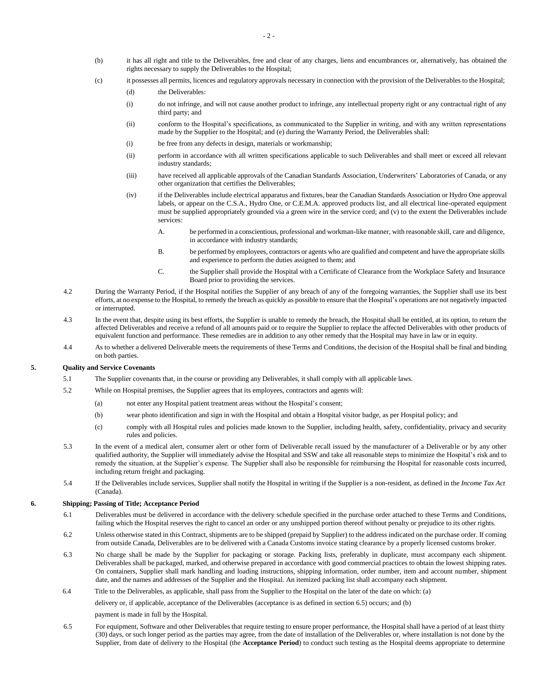- (b) it has all right and title to the Deliverables, free and clear of any charges, liens and encumbrances or, alternatively, has obtained the rights necessary to supply the Deliverables to the Hospital;
- (c) it possesses all permits, licences and regulatory approvals necessary in connection with the provision of the Deliverables to the Hospital;
	- (d) the Deliverables:
	- (i) do not infringe, and will not cause another product to infringe, any intellectual property right or any contractual right of any third party; and
	- (ii) conform to the Hospital's specifications, as communicated to the Supplier in writing, and with any written representations made by the Supplier to the Hospital; and (e) during the Warranty Period, the Deliverables shall:
	- (i) be free from any defects in design, materials or workmanship;
	- (ii) perform in accordance with all written specifications applicable to such Deliverables and shall meet or exceed all relevant industry standards;
	- (iii) have received all applicable approvals of the Canadian Standards Association, Underwriters' Laboratories of Canada, or any other organization that certifies the Deliverables;
	- (iv) if the Deliverables include electrical apparatus and fixtures, bear the Canadian Standards Association or Hydro One approval labels, or appear on the C.S.A., Hydro One, or C.E.M.A. approved products list, and all electrical line-operated equipment must be supplied appropriately grounded via a green wire in the service cord; and (v) to the extent the Deliverables include services:
		- A. be performed in a conscientious, professional and workman-like manner, with reasonable skill, care and diligence, in accordance with industry standards;
		- B. be performed by employees, contractors or agents who are qualified and competent and have the appropriate skills and experience to perform the duties assigned to them; and
		- C. the Supplier shall provide the Hospital with a Certificate of Clearance from the Workplace Safety and Insurance Board prior to providing the services.
- 4.2 During the Warranty Period, if the Hospital notifies the Supplier of any breach of any of the foregoing warranties, the Supplier shall use its best efforts, at no expense to the Hospital, to remedy the breach as quickly as possible to ensure that the Hospital's operations are not negatively impacted or interrupted.
- 4.3 In the event that, despite using its best efforts, the Supplier is unable to remedy the breach, the Hospital shall be entitled, at its option, to return the affected Deliverables and receive a refund of all amounts paid or to require the Supplier to replace the affected Deliverables with other products of equivalent function and performance. These remedies are in addition to any other remedy that the Hospital may have in law or in equity.
- 4.4 As to whether a delivered Deliverable meets the requirements of these Terms and Conditions, the decision of the Hospital shall be final and binding on both parties.

## **5. Quality and Service Covenants**

- 5.1 The Supplier covenants that, in the course or providing any Deliverables, it shall comply with all applicable laws.
- 5.2 While on Hospital premises, the Supplier agrees that its employees, contractors and agents will:
	- (a) not enter any Hospital patient treatment areas without the Hospital's consent;
	- (b) wear photo identification and sign in with the Hospital and obtain a Hospital visitor badge, as per Hospital policy; and
	- (c) comply with all Hospital rules and policies made known to the Supplier, including health, safety, confidentiality, privacy and security rules and policies.
- 5.3 In the event of a medical alert, consumer alert or other form of Deliverable recall issued by the manufacturer of a Deliverable or by any other qualified authority, the Supplier will immediately advise the Hospital and SSW and take all reasonable steps to minimize the Hospital's risk and to remedy the situation, at the Supplier's expense. The Supplier shall also be responsible for reimbursing the Hospital for reasonable costs incurred, including return freight and packaging.
- 5.4 If the Deliverables include services, Supplier shall notify the Hospital in writing if the Supplier is a non-resident, as defined in the *Income Tax Act* (Canada).

# **6. Shipping; Passing of Title; Acceptance Period**

- 6.1 Deliverables must be delivered in accordance with the delivery schedule specified in the purchase order attached to these Terms and Conditions, failing which the Hospital reserves the right to cancel an order or any unshipped portion thereof without penalty or prejudice to its other rights.
- 6.2 Unless otherwise stated in this Contract, shipments are to be shipped (prepaid by Supplier) to the address indicated on the purchase order. If coming from outside Canada, Deliverables are to be delivered with a Canada Customs invoice stating clearance by a properly licensed customs broker.
- 6.3 No charge shall be made by the Supplier for packaging or storage. Packing lists, preferably in duplicate, must accompany each shipment. Deliverables shall be packaged, marked, and otherwise prepared in accordance with good commercial practices to obtain the lowest shipping rates. On containers, Supplier shall mark handling and loading instructions, shipping information, order number, item and account number, shipment date, and the names and addresses of the Supplier and the Hospital. An itemized packing list shall accompany each shipment.
- 6.4 Title to the Deliverables, as applicable, shall pass from the Supplier to the Hospital on the later of the date on which: (a)

delivery or, if applicable, acceptance of the Deliverables (acceptance is as defined in section 6.5) occurs; and (b)

payment is made in full by the Hospital.

6.5 For equipment, Software and other Deliverables that require testing to ensure proper performance, the Hospital shall have a period of at least thirty (30) days, or such longer period as the parties may agree, from the date of installation of the Deliverables or, where installation is not done by the Supplier, from date of delivery to the Hospital (the **Acceptance Period**) to conduct such testing as the Hospital deems appropriate to determine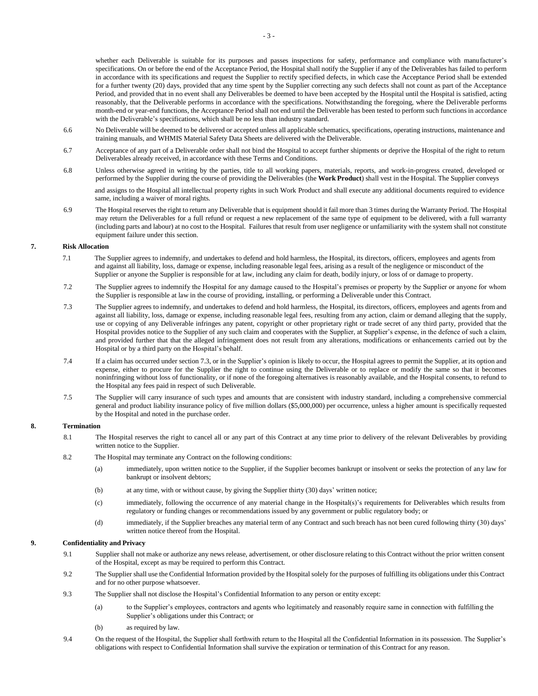whether each Deliverable is suitable for its purposes and passes inspections for safety, performance and compliance with manufacturer's specifications. On or before the end of the Acceptance Period, the Hospital shall notify the Supplier if any of the Deliverables has failed to perform in accordance with its specifications and request the Supplier to rectify specified defects, in which case the Acceptance Period shall be extended for a further twenty (20) days, provided that any time spent by the Supplier correcting any such defects shall not count as part of the Acceptance Period, and provided that in no event shall any Deliverables be deemed to have been accepted by the Hospital until the Hospital is satisfied, acting reasonably, that the Deliverable performs in accordance with the specifications. Notwithstanding the foregoing, where the Deliverable performs month-end or year-end functions, the Acceptance Period shall not end until the Deliverable has been tested to perform such functions in accordance with the Deliverable's specifications, which shall be no less than industry standard.

- 6.6 No Deliverable will be deemed to be delivered or accepted unless all applicable schematics, specifications, operating instructions, maintenance and training manuals, and WHMIS Material Safety Data Sheets are delivered with the Deliverable.
- 6.7 Acceptance of any part of a Deliverable order shall not bind the Hospital to accept further shipments or deprive the Hospital of the right to return Deliverables already received, in accordance with these Terms and Conditions.
- 6.8 Unless otherwise agreed in writing by the parties, title to all working papers, materials, reports, and work-in-progress created, developed or performed by the Supplier during the course of providing the Deliverables (the **Work Product**) shall vest in the Hospital. The Supplier conveys

and assigns to the Hospital all intellectual property rights in such Work Product and shall execute any additional documents required to evidence same, including a waiver of moral rights.

6.9 The Hospital reserves the right to return any Deliverable that is equipment should it fail more than 3 times during the Warranty Period. The Hospital may return the Deliverables for a full refund or request a new replacement of the same type of equipment to be delivered, with a full warranty (including parts and labour) at no cost to the Hospital. Failures that result from user negligence or unfamiliarity with the system shall not constitute equipment failure under this section.

# **7. Risk Allocation**

- 7.1 The Supplier agrees to indemnify, and undertakes to defend and hold harmless, the Hospital, its directors, officers, employees and agents from and against all liability, loss, damage or expense, including reasonable legal fees, arising as a result of the negligence or misconduct of the Supplier or anyone the Supplier is responsible for at law, including any claim for death, bodily injury, or loss of or damage to property.
- 7.2 The Supplier agrees to indemnify the Hospital for any damage caused to the Hospital's premises or property by the Supplier or anyone for whom the Supplier is responsible at law in the course of providing, installing, or performing a Deliverable under this Contract.
- 7.3 The Supplier agrees to indemnify, and undertakes to defend and hold harmless, the Hospital, its directors, officers, employees and agents from and against all liability, loss, damage or expense, including reasonable legal fees, resulting from any action, claim or demand alleging that the supply, use or copying of any Deliverable infringes any patent, copyright or other proprietary right or trade secret of any third party, provided that the Hospital provides notice to the Supplier of any such claim and cooperates with the Supplier, at Supplier's expense, in the defence of such a claim, and provided further that that the alleged infringement does not result from any alterations, modifications or enhancements carried out by the Hospital or by a third party on the Hospital's behalf.
- 7.4 If a claim has occurred under section 7.3, or in the Supplier's opinion is likely to occur, the Hospital agrees to permit the Supplier, at its option and expense, either to procure for the Supplier the right to continue using the Deliverable or to replace or modify the same so that it becomes noninfringing without loss of functionality, or if none of the foregoing alternatives is reasonably available, and the Hospital consents, to refund to the Hospital any fees paid in respect of such Deliverable.
- 7.5 The Supplier will carry insurance of such types and amounts that are consistent with industry standard, including a comprehensive commercial general and product liability insurance policy of five million dollars (\$5,000,000) per occurrence, unless a higher amount is specifically requested by the Hospital and noted in the purchase order.

# **8. Termination**

- 8.1 The Hospital reserves the right to cancel all or any part of this Contract at any time prior to delivery of the relevant Deliverables by providing written notice to the Supplier.
- 8.2 The Hospital may terminate any Contract on the following conditions:
	- (a) immediately, upon written notice to the Supplier, if the Supplier becomes bankrupt or insolvent or seeks the protection of any law for bankrupt or insolvent debtors;
	- (b) at any time, with or without cause, by giving the Supplier thirty (30) days' written notice;
	- (c) immediately, following the occurrence of any material change in the Hospital(s)'s requirements for Deliverables which results from regulatory or funding changes or recommendations issued by any government or public regulatory body; or
	- (d) immediately, if the Supplier breaches any material term of any Contract and such breach has not been cured following thirty (30) days' written notice thereof from the Hospital.

## **9. Confidentiality and Privacy**

- 9.1 Supplier shall not make or authorize any news release, advertisement, or other disclosure relating to this Contract without the prior written consent of the Hospital, except as may be required to perform this Contract.
- 9.2 The Supplier shall use the Confidential Information provided by the Hospital solely for the purposes of fulfilling its obligations under this Contract and for no other purpose whatsoever.
- 9.3 The Supplier shall not disclose the Hospital's Confidential Information to any person or entity except:
	- (a) to the Supplier's employees, contractors and agents who legitimately and reasonably require same in connection with fulfilling the Supplier's obligations under this Contract; or
	- (b) as required by law.
- 9.4 On the request of the Hospital, the Supplier shall forthwith return to the Hospital all the Confidential Information in its possession. The Supplier's obligations with respect to Confidential Information shall survive the expiration or termination of this Contract for any reason.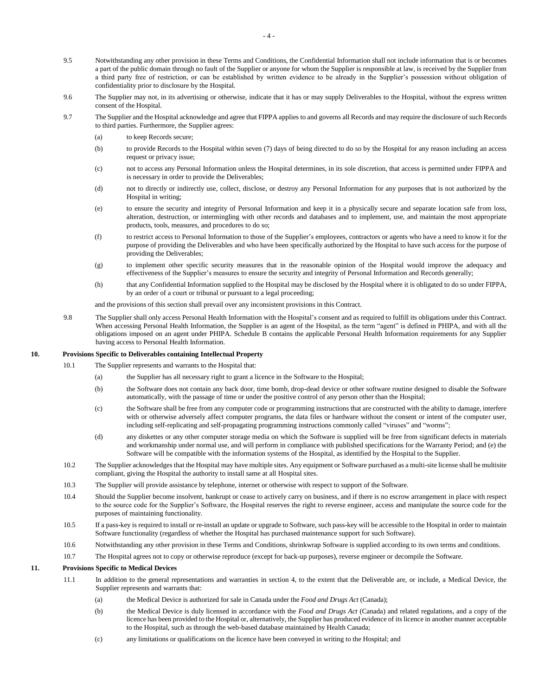- 9.5 Notwithstanding any other provision in these Terms and Conditions, the Confidential Information shall not include information that is or becomes a part of the public domain through no fault of the Supplier or anyone for whom the Supplier is responsible at law, is received by the Supplier from a third party free of restriction, or can be established by written evidence to be already in the Supplier's possession without obligation of confidentiality prior to disclosure by the Hospital.
- 9.6 The Supplier may not, in its advertising or otherwise, indicate that it has or may supply Deliverables to the Hospital, without the express written consent of the Hospital.
- 9.7 The Supplier and the Hospital acknowledge and agree that FIPPA applies to and governs all Records and may require the disclosure of such Records to third parties. Furthermore, the Supplier agrees:
	- (a) to keep Records secure;
	- (b) to provide Records to the Hospital within seven (7) days of being directed to do so by the Hospital for any reason including an access request or privacy issue;
	- (c) not to access any Personal Information unless the Hospital determines, in its sole discretion, that access is permitted under FIPPA and is necessary in order to provide the Deliverables;
	- (d) not to directly or indirectly use, collect, disclose, or destroy any Personal Information for any purposes that is not authorized by the Hospital in writing;
	- (e) to ensure the security and integrity of Personal Information and keep it in a physically secure and separate location safe from loss, alteration, destruction, or intermingling with other records and databases and to implement, use, and maintain the most appropriate products, tools, measures, and procedures to do so;
	- (f) to restrict access to Personal Information to those of the Supplier's employees, contractors or agents who have a need to know it for the purpose of providing the Deliverables and who have been specifically authorized by the Hospital to have such access for the purpose of providing the Deliverables;
	- (g) to implement other specific security measures that in the reasonable opinion of the Hospital would improve the adequacy and effectiveness of the Supplier's measures to ensure the security and integrity of Personal Information and Records generally;
	- (h) that any Confidential Information supplied to the Hospital may be disclosed by the Hospital where it is obligated to do so under FIPPA, by an order of a court or tribunal or pursuant to a legal proceeding;
	- and the provisions of this section shall prevail over any inconsistent provisions in this Contract.
- 9.8 The Supplier shall only access Personal Health Information with the Hospital's consent and as required to fulfill its obligations under this Contract. When accessing Personal Health Information, the Supplier is an agent of the Hospital, as the term "agent" is defined in PHIPA, and with all the obligations imposed on an agent under PHIPA. Schedule B contains the applicable Personal Health Information requirements for any Supplier having access to Personal Health Information.

### **10. Provisions Specific to Deliverables containing Intellectual Property**

- 10.1 The Supplier represents and warrants to the Hospital that:
	- (a) the Supplier has all necessary right to grant a licence in the Software to the Hospital;
	- (b) the Software does not contain any back door, time bomb, drop-dead device or other software routine designed to disable the Software automatically, with the passage of time or under the positive control of any person other than the Hospital;
	- (c) the Software shall be free from any computer code or programming instructions that are constructed with the ability to damage, interfere with or otherwise adversely affect computer programs, the data files or hardware without the consent or intent of the computer user, including self-replicating and self-propagating programming instructions commonly called "viruses" and "worms";
	- (d) any diskettes or any other computer storage media on which the Software is supplied will be free from significant defects in materials and workmanship under normal use, and will perform in compliance with published specifications for the Warranty Period; and (e) the Software will be compatible with the information systems of the Hospital, as identified by the Hospital to the Supplier.
- 10.2 The Supplier acknowledges that the Hospital may have multiple sites. Any equipment or Software purchased as a multi-site license shall be multisite compliant, giving the Hospital the authority to install same at all Hospital sites.
- 10.3 The Supplier will provide assistance by telephone, internet or otherwise with respect to support of the Software.
- 10.4 Should the Supplier become insolvent, bankrupt or cease to actively carry on business, and if there is no escrow arrangement in place with respect to the source code for the Supplier's Software, the Hospital reserves the right to reverse engineer, access and manipulate the source code for the purposes of maintaining functionality.
- 10.5 If a pass-key is required to install or re-install an update or upgrade to Software, such pass-key will be accessible to the Hospital in order to maintain Software functionality (regardless of whether the Hospital has purchased maintenance support for such Software).
- 10.6 Notwithstanding any other provision in these Terms and Conditions, shrinkwrap Software is supplied according to its own terms and conditions.
- 10.7 The Hospital agrees not to copy or otherwise reproduce (except for back-up purposes), reverse engineer or decompile the Software.

## **11. Provisions Specific to Medical Devices**

- 11.1 In addition to the general representations and warranties in section 4, to the extent that the Deliverable are, or include, a Medical Device, the Supplier represents and warrants that:
	- (a) the Medical Device is authorized for sale in Canada under the *Food and Drugs Act* (Canada);
	- (b) the Medical Device is duly licensed in accordance with the *Food and Drugs Act* (Canada) and related regulations, and a copy of the licence has been provided to the Hospital or, alternatively, the Supplier has produced evidence of its licence in another manner acceptable to the Hospital, such as through the web-based database maintained by Health Canada;
	- (c) any limitations or qualifications on the licence have been conveyed in writing to the Hospital; and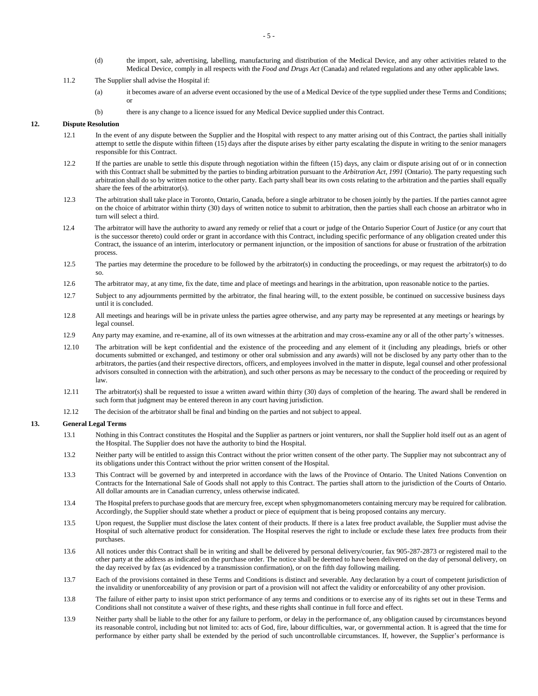- (d) the import, sale, advertising, labelling, manufacturing and distribution of the Medical Device, and any other activities related to the Medical Device, comply in all respects with the *Food and Drugs Act* (Canada) and related regulations and any other applicable laws.
- 11.2 The Supplier shall advise the Hospital if:
	- (a) it becomes aware of an adverse event occasioned by the use of a Medical Device of the type supplied under these Terms and Conditions; or
	- (b) there is any change to a licence issued for any Medical Device supplied under this Contract.

### **12. Dispute Resolution**

- 12.1 In the event of any dispute between the Supplier and the Hospital with respect to any matter arising out of this Contract, the parties shall initially attempt to settle the dispute within fifteen (15) days after the dispute arises by either party escalating the dispute in writing to the senior managers responsible for this Contract.
- 12.2 If the parties are unable to settle this dispute through negotiation within the fifteen (15) days, any claim or dispute arising out of or in connection with this Contract shall be submitted by the parties to binding arbitration pursuant to the *Arbitration Act, 1991* (Ontario). The party requesting such arbitration shall do so by written notice to the other party. Each party shall bear its own costs relating to the arbitration and the parties shall equally share the fees of the arbitrator(s).
- 12.3 The arbitration shall take place in Toronto, Ontario, Canada, before a single arbitrator to be chosen jointly by the parties. If the parties cannot agree on the choice of arbitrator within thirty (30) days of written notice to submit to arbitration, then the parties shall each choose an arbitrator who in turn will select a third.
- 12.4 The arbitrator will have the authority to award any remedy or relief that a court or judge of the Ontario Superior Court of Justice (or any court that is the successor thereto) could order or grant in accordance with this Contract, including specific performance of any obligation created under this Contract, the issuance of an interim, interlocutory or permanent injunction, or the imposition of sanctions for abuse or frustration of the arbitration process.
- 12.5 The parties may determine the procedure to be followed by the arbitrator(s) in conducting the proceedings, or may request the arbitrator(s) to do so.
- 12.6 The arbitrator may, at any time, fix the date, time and place of meetings and hearings in the arbitration, upon reasonable notice to the parties.
- 12.7 Subject to any adjournments permitted by the arbitrator, the final hearing will, to the extent possible, be continued on successive business days until it is concluded.
- 12.8 All meetings and hearings will be in private unless the parties agree otherwise, and any party may be represented at any meetings or hearings by legal counsel.
- 12.9 Any party may examine, and re-examine, all of its own witnesses at the arbitration and may cross-examine any or all of the other party's witnesses.
- 12.10 The arbitration will be kept confidential and the existence of the proceeding and any element of it (including any pleadings, briefs or other documents submitted or exchanged, and testimony or other oral submission and any awards) will not be disclosed by any party other than to the arbitrators, the parties (and their respective directors, officers, and employees involved in the matter in dispute, legal counsel and other professional advisors consulted in connection with the arbitration), and such other persons as may be necessary to the conduct of the proceeding or required by law.
- 12.11 The arbitrator(s) shall be requested to issue a written award within thirty (30) days of completion of the hearing. The award shall be rendered in such form that judgment may be entered thereon in any court having jurisdiction.
- 12.12 The decision of the arbitrator shall be final and binding on the parties and not subject to appeal.

#### **13. General Legal Terms**

- 13.1 Nothing in this Contract constitutes the Hospital and the Supplier as partners or joint venturers, nor shall the Supplier hold itself out as an agent of the Hospital. The Supplier does not have the authority to bind the Hospital.
- 13.2 Neither party will be entitled to assign this Contract without the prior written consent of the other party. The Supplier may not subcontract any of its obligations under this Contract without the prior written consent of the Hospital.
- 13.3 This Contract will be governed by and interpreted in accordance with the laws of the Province of Ontario. The United Nations Convention on Contracts for the International Sale of Goods shall not apply to this Contract. The parties shall attorn to the jurisdiction of the Courts of Ontario. All dollar amounts are in Canadian currency, unless otherwise indicated.
- 13.4 The Hospital prefers to purchase goodsthat are mercury free, except when sphygmomanometers containing mercury may be required for calibration. Accordingly, the Supplier should state whether a product or piece of equipment that is being proposed contains any mercury.
- 13.5 Upon request, the Supplier must disclose the latex content of their products. If there is a latex free product available, the Supplier must advise the Hospital of such alternative product for consideration. The Hospital reserves the right to include or exclude these latex free products from their purchases.
- 13.6 All notices under this Contract shall be in writing and shall be delivered by personal delivery/courier, fax 905-287-2873 or registered mail to the other party at the address as indicated on the purchase order. The notice shall be deemed to have been delivered on the day of personal delivery, on the day received by fax (as evidenced by a transmission confirmation), or on the fifth day following mailing.
- 13.7 Each of the provisions contained in these Terms and Conditions is distinct and severable. Any declaration by a court of competent jurisdiction of the invalidity or unenforceability of any provision or part of a provision will not affect the validity or enforceability of any other provision.
- 13.8 The failure of either party to insist upon strict performance of any terms and conditions or to exercise any of its rights set out in these Terms and Conditions shall not constitute a waiver of these rights, and these rights shall continue in full force and effect.
- 13.9 Neither party shall be liable to the other for any failure to perform, or delay in the performance of, any obligation caused by circumstances beyond its reasonable control, including but not limited to: acts of God, fire, labour difficulties, war, or governmental action. It is agreed that the time for performance by either party shall be extended by the period of such uncontrollable circumstances. If, however, the Supplier's performance is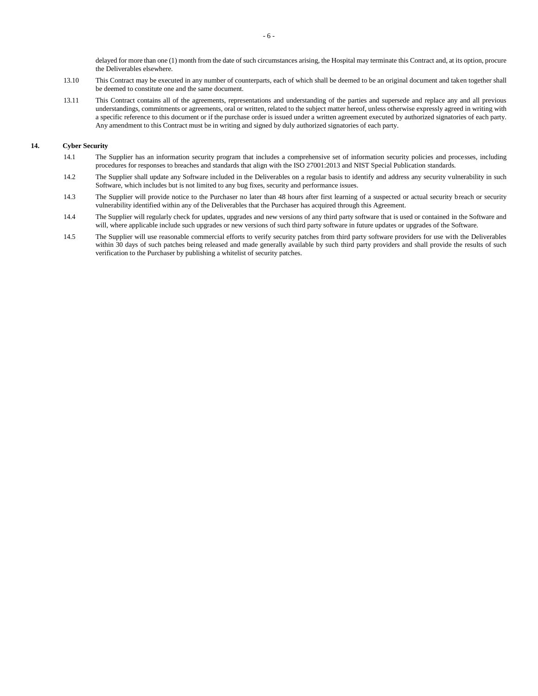delayed for more than one (1) month from the date of such circumstances arising, the Hospital may terminate this Contract and, at its option, procure the Deliverables elsewhere.

- 13.10 This Contract may be executed in any number of counterparts, each of which shall be deemed to be an original document and taken together shall be deemed to constitute one and the same document.
- 13.11 This Contract contains all of the agreements, representations and understanding of the parties and supersede and replace any and all previous understandings, commitments or agreements, oral or written, related to the subject matter hereof, unless otherwise expressly agreed in writing with a specific reference to this document or if the purchase order is issued under a written agreement executed by authorized signatories of each party. Any amendment to this Contract must be in writing and signed by duly authorized signatories of each party.

# **14. Cyber Security**

- 14.1 The Supplier has an information security program that includes a comprehensive set of information security policies and processes, including procedures for responses to breaches and standards that align with the ISO 27001:2013 and NIST Special Publication standards.
- 14.2 The Supplier shall update any Software included in the Deliverables on a regular basis to identify and address any security vulnerability in such Software, which includes but is not limited to any bug fixes, security and performance issues.
- 14.3 The Supplier will provide notice to the Purchaser no later than 48 hours after first learning of a suspected or actual security breach or security vulnerability identified within any of the Deliverables that the Purchaser has acquired through this Agreement.
- 14.4 The Supplier will regularly check for updates, upgrades and new versions of any third party software that is used or contained in the Software and will, where applicable include such upgrades or new versions of such third party software in future updates or upgrades of the Software.
- 14.5 The Supplier will use reasonable commercial efforts to verify security patches from third party software providers for use with the Deliverables within 30 days of such patches being released and made generally available by such third party providers and shall provide the results of such verification to the Purchaser by publishing a whitelist of security patches.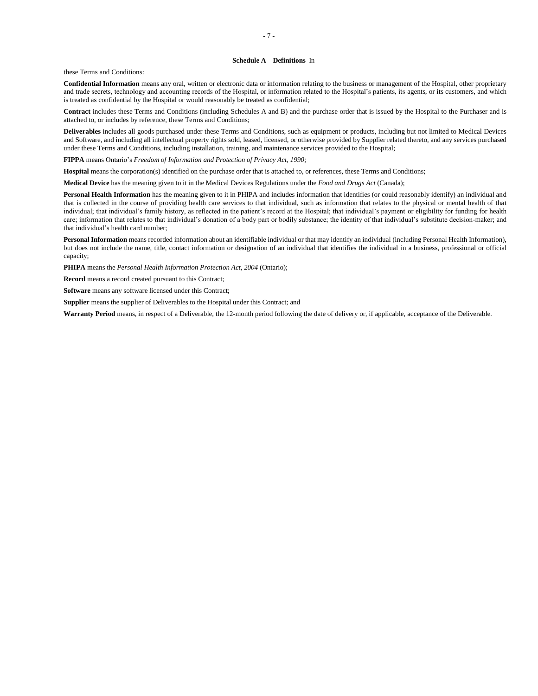#### **Schedule A – Definitions** In

these Terms and Conditions:

**Confidential Information** means any oral, written or electronic data or information relating to the business or management of the Hospital, other proprietary and trade secrets, technology and accounting records of the Hospital, or information related to the Hospital's patients, its agents, or its customers, and which is treated as confidential by the Hospital or would reasonably be treated as confidential;

**Contract** includes these Terms and Conditions (including Schedules A and B) and the purchase order that is issued by the Hospital to the Purchaser and is attached to, or includes by reference, these Terms and Conditions;

**Deliverables** includes all goods purchased under these Terms and Conditions, such as equipment or products, including but not limited to Medical Devices and Software, and including all intellectual property rights sold, leased, licensed, or otherwise provided by Supplier related thereto, and any services purchased under these Terms and Conditions, including installation, training, and maintenance services provided to the Hospital;

**FIPPA** means Ontario's *Freedom of Information and Protection of Privacy Act, 1990*;

**Hospital** means the corporation(s) identified on the purchase order that is attached to, or references, these Terms and Conditions;

**Medical Device** has the meaning given to it in the Medical Devices Regulations under the *Food and Drugs Act* (Canada);

Personal Health Information has the meaning given to it in PHIPA and includes information that identifies (or could reasonably identify) an individual and that is collected in the course of providing health care services to that individual, such as information that relates to the physical or mental health of that individual; that individual's family history, as reflected in the patient's record at the Hospital; that individual's payment or eligibility for funding for health care; information that relates to that individual's donation of a body part or bodily substance; the identity of that individual's substitute decision-maker; and that individual's health card number;

**Personal Information** means recorded information about an identifiable individual or that may identify an individual (including Personal Health Information), but does not include the name, title, contact information or designation of an individual that identifies the individual in a business, professional or official capacity;

**PHIPA** means the *Personal Health Information Protection Act, 2004* (Ontario);

**Record** means a record created pursuant to this Contract;

**Software** means any software licensed under this Contract;

**Supplier** means the supplier of Deliverables to the Hospital under this Contract; and

**Warranty Period** means, in respect of a Deliverable, the 12-month period following the date of delivery or, if applicable, acceptance of the Deliverable.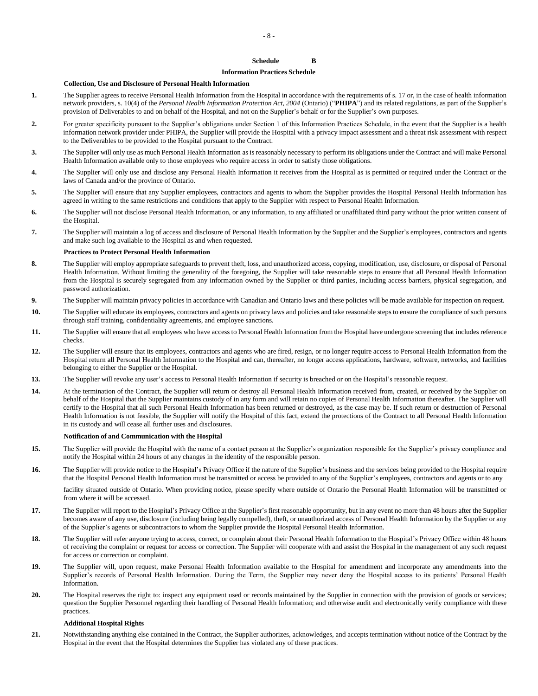## **Schedule B**

#### **Information Practices Schedule**

#### **Collection, Use and Disclosure of Personal Health Information**

- **1.** The Supplier agrees to receive Personal Health Information from the Hospital in accordance with the requirements of s. 17 or, in the case of health information network providers, s. 10(4) of the *Personal Health Information Protection Act, 2004* (Ontario) ("**PHIPA**") and its related regulations, as part of the Supplier's provision of Deliverables to and on behalf of the Hospital, and not on the Supplier's behalf or for the Supplier's own purposes.
- **2.** For greater specificity pursuant to the Supplier's obligations under Section 1 of this Information Practices Schedule, in the event that the Supplier is a health information network provider under PHIPA, the Supplier will provide the Hospital with a privacy impact assessment and a threat risk assessment with respect to the Deliverables to be provided to the Hospital pursuant to the Contract.
- **3.** The Supplier will only use as much Personal Health Information asis reasonably necessary to perform its obligations under the Contract and will make Personal Health Information available only to those employees who require access in order to satisfy those obligations.
- **4.** The Supplier will only use and disclose any Personal Health Information it receives from the Hospital as is permitted or required under the Contract or the laws of Canada and/or the province of Ontario.
- **5.** The Supplier will ensure that any Supplier employees, contractors and agents to whom the Supplier provides the Hospital Personal Health Information has agreed in writing to the same restrictions and conditions that apply to the Supplier with respect to Personal Health Information.
- **6.** The Supplier will not disclose Personal Health Information, or any information, to any affiliated or unaffiliated third party without the prior written consent of the Hospital.
- **7.** The Supplier will maintain a log of access and disclosure of Personal Health Information by the Supplier and the Supplier's employees, contractors and agents and make such log available to the Hospital as and when requested.

### **Practices to Protect Personal Health Information**

- **8.** The Supplier will employ appropriate safeguards to prevent theft, loss, and unauthorized access, copying, modification, use, disclosure, or disposal of Personal Health Information. Without limiting the generality of the foregoing, the Supplier will take reasonable steps to ensure that all Personal Health Information from the Hospital is securely segregated from any information owned by the Supplier or third parties, including access barriers, physical segregation, and password authorization.
- **9.** The Supplier will maintain privacy policies in accordance with Canadian and Ontario laws and these policies will be made available for inspection on request.
- **10.** The Supplier will educate its employees, contractors and agents on privacy laws and policies and take reasonable steps to ensure the compliance of such persons through staff training, confidentiality agreements, and employee sanctions.
- **11.** The Supplier will ensure that all employees who have access to Personal Health Information from the Hospital have undergone screening that includes reference checks.
- **12.** The Supplier will ensure that its employees, contractors and agents who are fired, resign, or no longer require access to Personal Health Information from the Hospital return all Personal Health Information to the Hospital and can, thereafter, no longer access applications, hardware, software, networks, and facilities belonging to either the Supplier or the Hospital.
- **13.** The Supplier will revoke any user's access to Personal Health Information if security is breached or on the Hospital's reasonable request.
- **14.** At the termination of the Contract, the Supplier will return or destroy all Personal Health Information received from, created, or received by the Supplier on behalf of the Hospital that the Supplier maintains custody of in any form and will retain no copies of Personal Health Information thereafter. The Supplier will certify to the Hospital that all such Personal Health Information has been returned or destroyed, as the case may be. If such return or destruction of Personal Health Information is not feasible, the Supplier will notify the Hospital of this fact, extend the protections of the Contract to all Personal Health Information in its custody and will cease all further uses and disclosures.

#### **Notification of and Communication with the Hospital**

- **15.** The Supplier will provide the Hospital with the name of a contact person at the Supplier's organization responsible for the Supplier's privacy compliance and notify the Hospital within 24 hours of any changes in the identity of the responsible person.
- **16.** The Supplier will provide notice to the Hospital's Privacy Office if the nature of the Supplier's business and the services being provided to the Hospital require that the Hospital Personal Health Information must be transmitted or access be provided to any of the Supplier's employees, contractors and agents or to any

facility situated outside of Ontario. When providing notice, please specify where outside of Ontario the Personal Health Information will be transmitted or from where it will be accessed.

- **17.** The Supplier will report to the Hospital's Privacy Office at the Supplier's first reasonable opportunity, but in any event no more than 48 hours after the Supplier becomes aware of any use, disclosure (including being legally compelled), theft, or unauthorized access of Personal Health Information by the Supplier or any of the Supplier's agents or subcontractors to whom the Supplier provide the Hospital Personal Health Information.
- **18.** The Supplier will refer anyone trying to access, correct, or complain about their Personal Health Information to the Hospital's Privacy Office within 48 hours of receiving the complaint or request for access or correction. The Supplier will cooperate with and assist the Hospital in the management of any such request for access or correction or complaint.
- **19.** The Supplier will, upon request, make Personal Health Information available to the Hospital for amendment and incorporate any amendments into the Supplier's records of Personal Health Information. During the Term, the Supplier may never deny the Hospital access to its patients' Personal Health Information.
- **20.** The Hospital reserves the right to: inspect any equipment used or records maintained by the Supplier in connection with the provision of goods or services; question the Supplier Personnel regarding their handling of Personal Health Information; and otherwise audit and electronically verify compliance with these practices.

#### **Additional Hospital Rights**

**21.** Notwithstanding anything else contained in the Contract, the Supplier authorizes, acknowledges, and accepts termination without notice of the Contract by the Hospital in the event that the Hospital determines the Supplier has violated any of these practices.